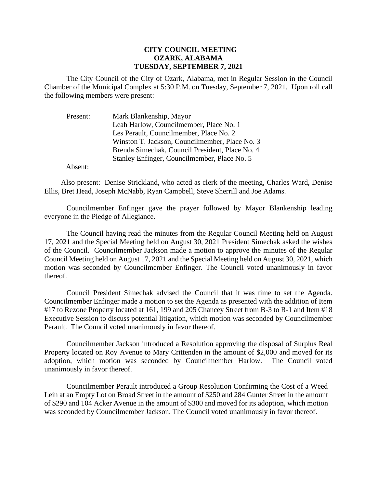## **CITY COUNCIL MEETING OZARK, ALABAMA TUESDAY, SEPTEMBER 7, 2021**

The City Council of the City of Ozark, Alabama, met in Regular Session in the Council Chamber of the Municipal Complex at 5:30 P.M. on Tuesday, September 7, 2021. Upon roll call the following members were present:

| Present: | Mark Blankenship, Mayor                         |
|----------|-------------------------------------------------|
|          | Leah Harlow, Councilmember, Place No. 1         |
|          | Les Perault, Councilmember, Place No. 2         |
|          | Winston T. Jackson, Councilmember, Place No. 3  |
|          | Brenda Simechak, Council President, Place No. 4 |
|          | Stanley Enfinger, Councilmember, Place No. 5    |
|          |                                                 |

Absent:

Also present: Denise Strickland, who acted as clerk of the meeting, Charles Ward, Denise Ellis, Bret Head, Joseph McNabb, Ryan Campbell, Steve Sherrill and Joe Adams.

Councilmember Enfinger gave the prayer followed by Mayor Blankenship leading everyone in the Pledge of Allegiance.

The Council having read the minutes from the Regular Council Meeting held on August 17, 2021 and the Special Meeting held on August 30, 2021 President Simechak asked the wishes of the Council. Councilmember Jackson made a motion to approve the minutes of the Regular Council Meeting held on August 17, 2021 and the Special Meeting held on August 30, 2021, which motion was seconded by Councilmember Enfinger. The Council voted unanimously in favor thereof.

Council President Simechak advised the Council that it was time to set the Agenda. Councilmember Enfinger made a motion to set the Agenda as presented with the addition of Item #17 to Rezone Property located at 161, 199 and 205 Chancey Street from B-3 to R-1 and Item #18 Executive Session to discuss potential litigation, which motion was seconded by Councilmember Perault. The Council voted unanimously in favor thereof.

Councilmember Jackson introduced a Resolution approving the disposal of Surplus Real Property located on Roy Avenue to Mary Crittenden in the amount of \$2,000 and moved for its adoption, which motion was seconded by Councilmember Harlow. The Council voted unanimously in favor thereof.

Councilmember Perault introduced a Group Resolution Confirming the Cost of a Weed Lein at an Empty Lot on Broad Street in the amount of \$250 and 284 Gunter Street in the amount of \$290 and 104 Acker Avenue in the amount of \$300 and moved for its adoption, which motion was seconded by Councilmember Jackson. The Council voted unanimously in favor thereof.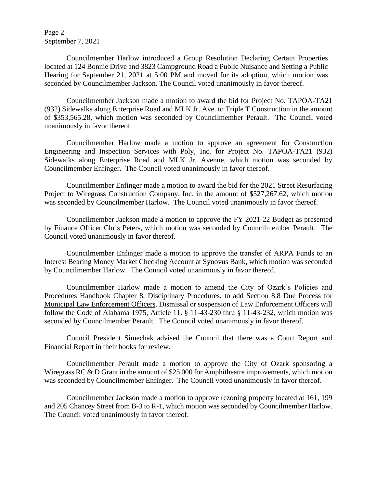Page 2 September 7, 2021

Councilmember Harlow introduced a Group Resolution Declaring Certain Properties located at 124 Bonnie Drive and 3823 Campground Road a Public Nuisance and Setting a Public Hearing for September 21, 2021 at 5:00 PM and moved for its adoption, which motion was seconded by Councilmember Jackson. The Council voted unanimously in favor thereof.

Councilmember Jackson made a motion to award the bid for Project No. TAPOA-TA21 (932) Sidewalks along Enterprise Road and MLK Jr. Ave. to Triple T Construction in the amount of \$353,565.28, which motion was seconded by Councilmember Perault. The Council voted unanimously in favor thereof.

Councilmember Harlow made a motion to approve an agreement for Construction Engineering and Inspection Services with Poly, Inc. for Project No. TAPOA-TA21 (932) Sidewalks along Enterprise Road and MLK Jr. Avenue, which motion was seconded by Councilmember Enfinger. The Council voted unanimously in favor thereof.

Councilmember Enfinger made a motion to award the bid for the 2021 Street Resurfacing Project to Wiregrass Construction Company, Inc. in the amount of \$527,267.62, which motion was seconded by Councilmember Harlow. The Council voted unanimously in favor thereof.

Councilmember Jackson made a motion to approve the FY 2021-22 Budget as presented by Finance Officer Chris Peters, which motion was seconded by Councilmember Perault. The Council voted unanimously in favor thereof.

Councilmember Enfinger made a motion to approve the transfer of ARPA Funds to an Interest Bearing Money Market Checking Account at Synovus Bank, which motion was seconded by Councilmember Harlow. The Council voted unanimously in favor thereof.

Councilmember Harlow made a motion to amend the City of Ozark's Policies and Procedures Handbook Chapter 8, Disciplinary Procedures, to add Section 8.8 Due Process for Municipal Law Enforcement Officers. Dismissal or suspension of Law Enforcement Officers will follow the Code of Alabama 1975, Article 11. § 11-43-230 thru § 11-43-232, which motion was seconded by Councilmember Perault. The Council voted unanimously in favor thereof.

Council President Simechak advised the Council that there was a Court Report and Financial Report in their books for review.

Councilmember Perault made a motion to approve the City of Ozark sponsoring a Wiregrass RC & D Grant in the amount of \$25 000 for Amphitheatre improvements, which motion was seconded by Councilmember Enfinger. The Council voted unanimously in favor thereof.

Councilmember Jackson made a motion to approve rezoning property located at 161, 199 and 205 Chancey Street from B-3 to R-1, which motion was seconded by Councilmember Harlow. The Council voted unanimously in favor thereof.